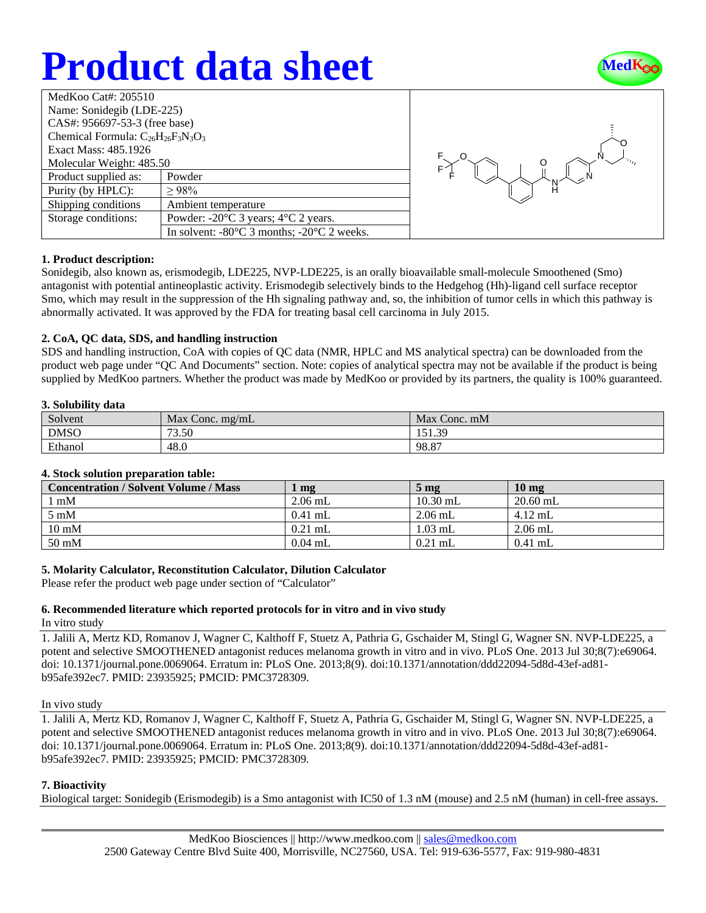# **Product data sheet**



| MedKoo Cat#: $205510$                     |                                                                |  |
|-------------------------------------------|----------------------------------------------------------------|--|
| Name: Sonidegib (LDE-225)                 |                                                                |  |
| CAS#: 956697-53-3 (free base)             |                                                                |  |
| Chemical Formula: $C_{26}H_{26}F_3N_3O_3$ |                                                                |  |
| Exact Mass: 485.1926                      |                                                                |  |
| Molecular Weight: 485.50                  |                                                                |  |
| Product supplied as:                      | Powder                                                         |  |
| Purity (by HPLC):                         | >98%                                                           |  |
| Shipping conditions                       | Ambient temperature                                            |  |
| Storage conditions:                       | Powder: $-20^{\circ}$ C 3 years; $4^{\circ}$ C 2 years.        |  |
|                                           | In solvent: $-80^{\circ}$ C 3 months; $-20^{\circ}$ C 2 weeks. |  |



## **1. Product description:**

Sonidegib, also known as, erismodegib, LDE225, NVP-LDE225, is an orally bioavailable small-molecule Smoothened (Smo) antagonist with potential antineoplastic activity. Erismodegib selectively binds to the Hedgehog (Hh)-ligand cell surface receptor Smo, which may result in the suppression of the Hh signaling pathway and, so, the inhibition of tumor cells in which this pathway is abnormally activated. It was approved by the FDA for treating basal cell carcinoma in July 2015.

## **2. CoA, QC data, SDS, and handling instruction**

SDS and handling instruction, CoA with copies of QC data (NMR, HPLC and MS analytical spectra) can be downloaded from the product web page under "QC And Documents" section. Note: copies of analytical spectra may not be available if the product is being supplied by MedKoo partners. Whether the product was made by MedKoo or provided by its partners, the quality is 100% guaranteed.

### **3. Solubility data**

| Solvent     | Max<br>Conc. $mg/mL$ | Max<br>Conc. mM |
|-------------|----------------------|-----------------|
| <b>DMSO</b> | 73.50                | 151.30<br>171.J |
| Ethanol     | 48.0                 | 98.87           |

## **4. Stock solution preparation table:**

| <b>Concentration / Solvent Volume / Mass</b> | $\mathbf{mg}$ | 5 <sub>mg</sub> | 10 <sub>mg</sub> |
|----------------------------------------------|---------------|-----------------|------------------|
| $1 \text{ mM}$                               | $2.06$ mL     | $10.30$ mL      | $20.60$ mL       |
| $5 \text{ mM}$                               | $0.41$ mL     | $2.06$ mL       | $4.12$ mL        |
| $10 \text{ mM}$                              | $0.21$ mL     | $1.03$ mL       | $2.06$ mL        |
| $50 \text{ mM}$                              | $0.04$ mL     | $0.21$ mL       | $0.41$ mL        |

## **5. Molarity Calculator, Reconstitution Calculator, Dilution Calculator**

Please refer the product web page under section of "Calculator"

## **6. Recommended literature which reported protocols for in vitro and in vivo study**

In vitro study

1. Jalili A, Mertz KD, Romanov J, Wagner C, Kalthoff F, Stuetz A, Pathria G, Gschaider M, Stingl G, Wagner SN. NVP-LDE225, a potent and selective SMOOTHENED antagonist reduces melanoma growth in vitro and in vivo. PLoS One. 2013 Jul 30;8(7):e69064. doi: 10.1371/journal.pone.0069064. Erratum in: PLoS One. 2013;8(9). doi:10.1371/annotation/ddd22094-5d8d-43ef-ad81 b95afe392ec7. PMID: 23935925; PMCID: PMC3728309.

## In vivo study

1. Jalili A, Mertz KD, Romanov J, Wagner C, Kalthoff F, Stuetz A, Pathria G, Gschaider M, Stingl G, Wagner SN. NVP-LDE225, a potent and selective SMOOTHENED antagonist reduces melanoma growth in vitro and in vivo. PLoS One. 2013 Jul 30;8(7):e69064. doi: 10.1371/journal.pone.0069064. Erratum in: PLoS One. 2013;8(9). doi:10.1371/annotation/ddd22094-5d8d-43ef-ad81 b95afe392ec7. PMID: 23935925; PMCID: PMC3728309.

## **7. Bioactivity**

Biological target: Sonidegib (Erismodegib) is a Smo antagonist with IC50 of 1.3 nM (mouse) and 2.5 nM (human) in cell-free assays.